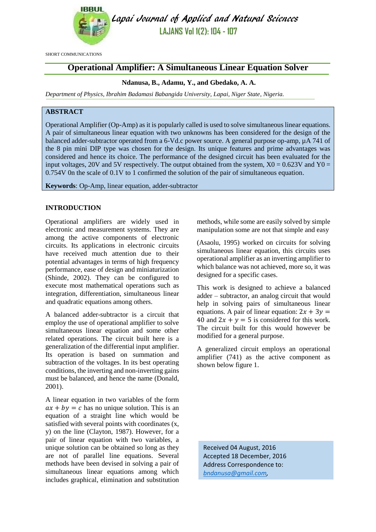

Lapai Journal of Applied and Natural Sciences **LAJANS Vol 1(2): 104 - 107**

SHORT COMMUNICATIONS

# **Operational Amplifier: A Simultaneous Linear Equation Solver**

## **Ndanusa, B., Adamu, Y., and Gbedako, A. A.**

*Department of Physics, Ibrahim Badamasi Babangida University, Lapai, Niger State, Nigeria.*

## **ABSTRACT**

Operational Amplifier (Op-Amp) as it is popularly called is used to solve simultaneous linear equations. A pair of simultaneous linear equation with two unknowns has been considered for the design of the balanced adder-subtractor operated from a 6-Vd.c power source. A general purpose op-amp, µA 741 of the 8 pin mini DIP type was chosen for the design. Its unique features and prime advantages was considered and hence its choice. The performance of the designed circuit has been evaluated for the input voltages, 20V and 5V respectively. The output obtained from the system,  $X0 = 0.623V$  and  $Y0 =$ 0.754V 0n the scale of 0.1V to 1 confirmed the solution of the pair of simultaneous equation.

**Keywords**: Op-Amp, linear equation, adder-subtractor

## **INTRODUCTION**

Operational amplifiers are widely used in electronic and measurement systems. They are among the active components of electronic circuits. Its applications in electronic circuits have received much attention due to their potential advantages in terms of high frequency performance, ease of design and miniaturization (Shinde, 2002). They can be configured to execute most mathematical operations such as integration, differentiation, simultaneous linear and quadratic equations among others.

A balanced adder-subtractor is a circuit that employ the use of operational amplifier to solve simultaneous linear equation and some other related operations. The circuit built here is a generalization of the differential input amplifier. Its operation is based on summation and subtraction of the voltages. In its best operating conditions, the inverting and non-inverting gains must be balanced, and hence the name (Donald, 2001).

A linear equation in two variables of the form  $ax + by = c$  has no unique solution. This is an equation of a straight line which would be satisfied with several points with coordinates (x, y) on the line (Clayton, 1987). However, for a pair of linear equation with two variables, a unique solution can be obtained so long as they are not of parallel line equations. Several methods have been devised in solving a pair of simultaneous linear equations among which includes graphical, elimination and substitution methods, while some are easily solved by simple manipulation some are not that simple and easy

(Asaolu, 1995) worked on circuits for solving simultaneous linear equation, this circuits uses operational amplifier as an inverting amplifier to which balance was not achieved, more so, it was designed for a specific cases.

This work is designed to achieve a balanced adder – subtractor, an analog circuit that would help in solving pairs of simultaneous linear equations. A pair of linear equation:  $2x + 3y =$ 40 and  $2x + y = 5$  is considered for this work. The circuit built for this would however be modified for a general purpose.

A generalized circuit employs an operational amplifier (741) as the active component as shown below figure 1.

Received 04 August, 2016 Accepted 18 December, 2016 Address Correspondence to: *[bndanusa@gmail.com,](mailto:bndanusa@gmail.com)*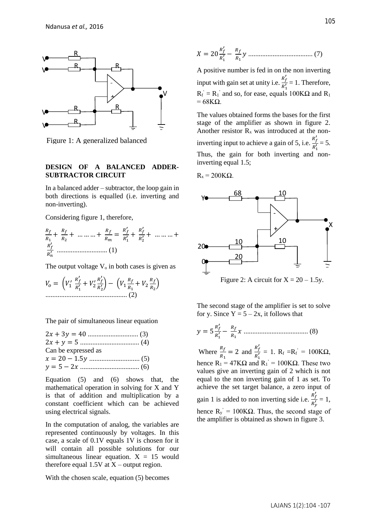

Figure 1: A generalized balanced

## **DESIGN OF A BALANCED ADDER-SUBTRACTOR CIRCUIT**

In a balanced adder – subtractor, the loop gain in both directions is equalled (i.e. inverting and non-inverting).

Considering figure 1, therefore,

$$
\frac{R_f}{R_1} + \frac{R_f}{R_2} + \dots + \frac{R_f}{R_m} = \frac{R'_f}{R'_1} + \frac{R'_f}{R'_2} + \dots + \frac{R'_f}{R'_n}
$$

The output voltage  $V_0$  in both cases is given as

$$
V_0 = \left(V_1' \frac{R'_f}{R'_1} + V_2' \frac{R'_f}{R'_2}\right) - \left(V_1 \frac{R_f}{R_1} + V_2 \frac{R_f}{R_2}\right)
$$
  
................. (2)

The pair of simultaneous linear equation

| Can be expressed as |  |
|---------------------|--|
|                     |  |
|                     |  |
|                     |  |

Equation (5) and (6) shows that, the mathematical operation in solving for X and Y is that of addition and multiplication by a constant coefficient which can be achieved using electrical signals.

In the computation of analog, the variables are represented continuously by voltages. In this case, a scale of 0.1V equals 1V is chosen for it will contain all possible solutions for our simultaneous linear equation.  $X = 15$  would therefore equal  $1.5V$  at  $X$  – output region.

With the chosen scale, equation (5) becomes

$$
X = 20 \frac{R'_f}{R'_1} - \frac{R_f}{R_1} y \dots \dots \dots \dots \dots \dots \dots \dots \dots \dots \dots \dots \dots \tag{7}
$$

A positive number is fed in on the non inverting input with gain set at unity i.e.  $\frac{R'_f}{R'}$  $\frac{n_f}{R_1'}$  = 1. Therefore,  $R_f$  =  $R_1$ ' and so, for ease, equals 100K $\Omega$  and  $R_1$  $= 68K\Omega$ .

The values obtained forms the bases for the first stage of the amplifier as shown in figure 2. Another resistor  $R_x$  was introduced at the noninverting input to achieve a gain of 5, i.e.  $\frac{R'_f}{R}$  $\frac{N_f}{R_1'} = 5.$ Thus, the gain for both inverting and noninverting equal 1.5;

 $R_x = 200KΩ$ .



Figure 2: A circuit for  $X = 20 - 1.5y$ .

The second stage of the amplifier is set to solve for y. Since  $Y = 5 - 2x$ , it follows that

$$
y = 5\frac{R'_f}{R'_1} - \frac{R_f}{R_1}x
$$
................. (8)

Where  $\frac{R_f}{R_1} = 2$  and  $\frac{R'_f}{R'_1}$  $\frac{R_f}{R_1'} = 1$ .  $R_f = R_f' = 100K\Omega$ , hence  $R_1 = 47K\Omega$  and  $R_1 = 100K\Omega$ . These two values give an inverting gain of 2 which is not equal to the non inverting gain of 1 as set. To achieve the set target balance, a zero input of gain 1 is added to non inverting side i.e.  $\frac{R_f'}{R}$  $\frac{y}{R'_y} = 1,$ hence  $R_y$ <sup>'</sup> = 100KΩ. Thus, the second stage of the amplifier is obtained as shown in figure 3.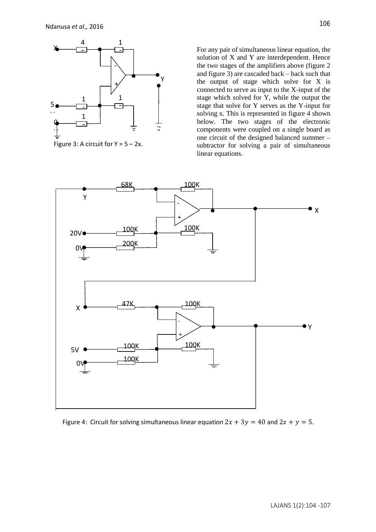

Figure 3: A circuit for  $Y = 5 - 2x$ .

For any pair of simultaneous linear equation, the solution of X and Y are interdependent. Hence the two stages of the amplifiers above (figure 2 and figure 3) are cascaded back – back such that the output of stage which solve for X is connected to serve as input to the X-input of the stage which solved for Y, while the output the stage that solve for Y serves as the Y-input for solving x. This is represented in figure 4 shown below. The two stages of the electronic components were coupled on a single board as one circuit of the designed balanced summer – subtractor for solving a pair of simultaneous linear equations.



Figure 4: Circuit for solving simultaneous linear equation  $2x + 3y = 40$  and  $2x + y = 5$ .